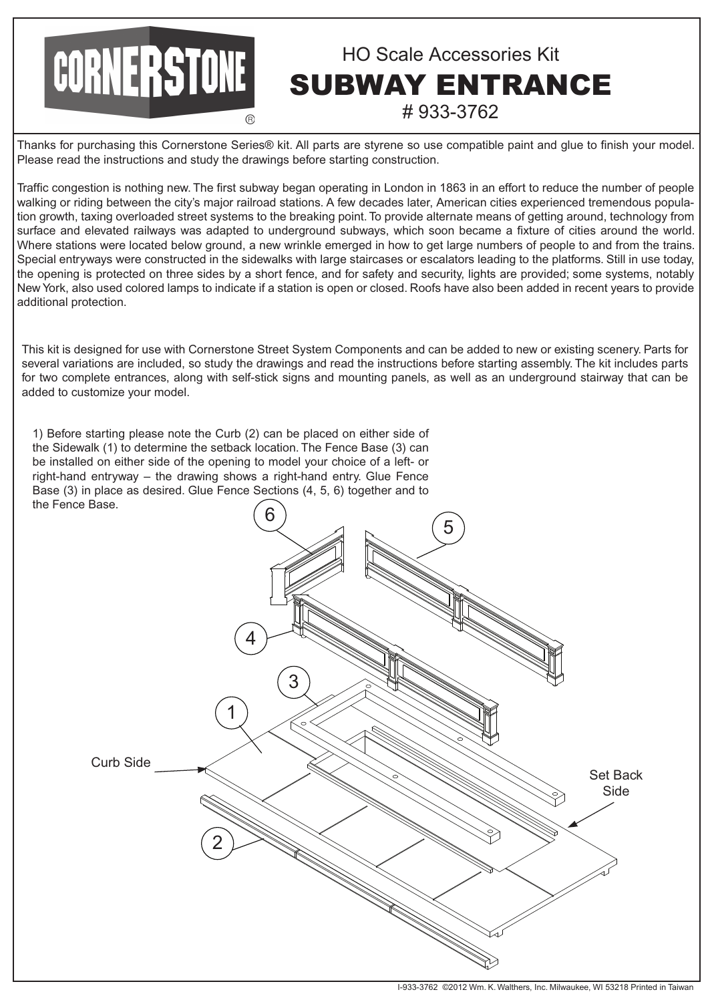## CORNERSTONE HO Scale Accessories Kit SUBWAY ENTRANCE # 933-3762

Thanks for purchasing this Cornerstone Series® kit. All parts are styrene so use compatible paint and glue to finish your model. Please read the instructions and study the drawings before starting construction.

Traffic congestion is nothing new. The first subway began operating in London in 1863 in an effort to reduce the number of people walking or riding between the city's major railroad stations. A few decades later, American cities experienced tremendous population growth, taxing overloaded street systems to the breaking point. To provide alternate means of getting around, technology from surface and elevated railways was adapted to underground subways, which soon became a fixture of cities around the world. Where stations were located below ground, a new wrinkle emerged in how to get large numbers of people to and from the trains. Special entryways were constructed in the sidewalks with large staircases or escalators leading to the platforms. Still in use today, the opening is protected on three sides by a short fence, and for safety and security, lights are provided; some systems, notably New York, also used colored lamps to indicate if a station is open or closed. Roofs have also been added in recent years to provide additional protection.

This kit is designed for use with Cornerstone Street System Components and can be added to new or existing scenery. Parts for several variations are included, so study the drawings and read the instructions before starting assembly. The kit includes parts for two complete entrances, along with self-stick signs and mounting panels, as well as an underground stairway that can be added to customize your model.

1) Before starting please note the Curb (2) can be placed on either side of the Sidewalk (1) to determine the setback location. The Fence Base (3) can be installed on either side of the opening to model your choice of a left- or right-hand entryway – the drawing shows a right-hand entry. Glue Fence Base (3) in place as desired. Glue Fence Sections (4, 5, 6) together and to the Fence Base.

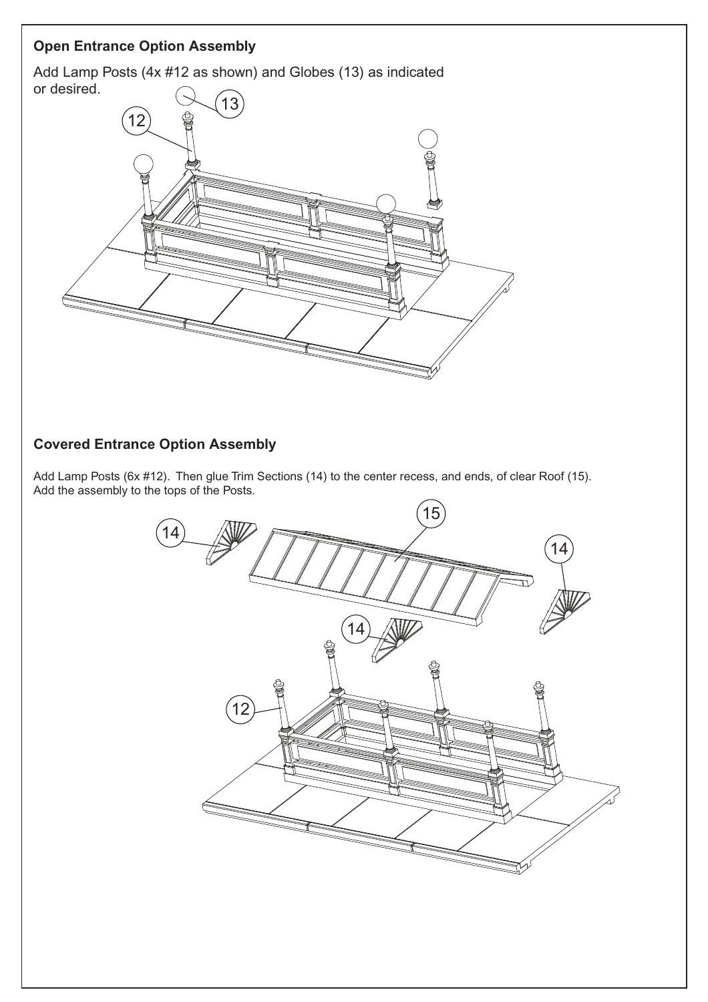## **Open Entrance Option Assembly**

Add Lamp Posts (4x #12 as shown) and Globes (13) as indicated or desired.



## **Covered Entrance Option Assembly**

Add Lamp Posts (6x #12). Then glue Trim Sections (14) to the center recess, and ends, of clear Roof (15). Add the assembly to the tops of the Posts.

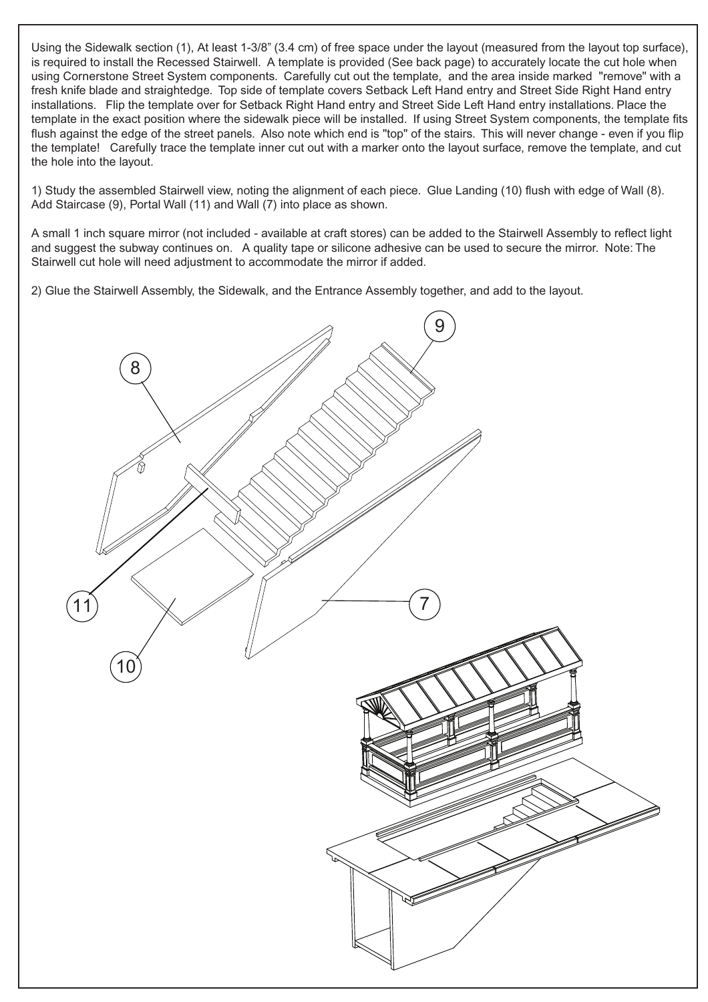Using the Sidewalk section (1), At least 1-3/8" (3.4 cm) of free space under the layout (measured from the layout top surface), is required to install the Recessed Stairwell. A template is provided (See back page) to accurately locate the cut hole when using Cornerstone Street System components. Carefully cut out the template, and the area inside marked "remove" with a fresh knife blade and straightedge. Top side of template covers Setback Left Hand entry and Street Side Right Hand entry installations. Flip the template over for Setback Right Hand entry and Street Side Left Hand entry installations. Place the template in the exact position where the sidewalk piece will be installed. If using Street System components, the template fits flush against the edge of the street panels. Also note which end is "top" of the stairs. This will never change - even if you flip the template! Carefully trace the template inner cut out with a marker onto the layout surface, remove the template, and cut the hole into the layout.

1) Study the assembled Stairwell view, noting the alignment of each piece. Glue Landing (10) flush with edge of Wall (8). Add Staircase (9), Portal Wall (11) and Wall (7) into place as shown.

A small 1 inch square mirror (not included - available at craft stores) can be added to the Stairwell Assembly to reflect light and suggest the subway continues on. A quality tape or silicone adhesive can be used to secure the mirror. Note: The Stairwell cut hole will need adjustment to accommodate the mirror if added.

2) Glue the Stairwell Assembly, the Sidewalk, and the Entrance Assembly together, and add to the layout.